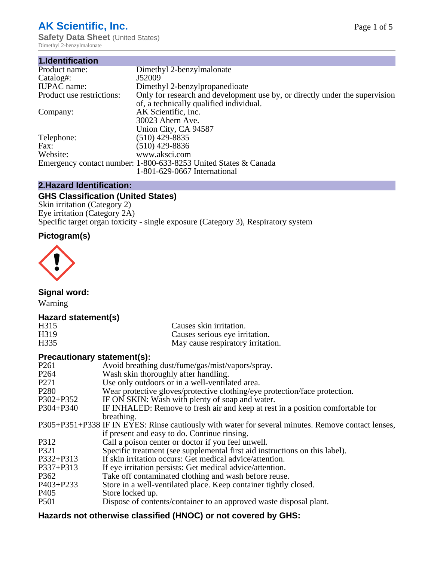# **AK Scientific, Inc.**

**Safety Data Sheet (United States)** Dimethyl 2-benzylmalonate

| 1.Identification          |                                                                             |
|---------------------------|-----------------------------------------------------------------------------|
| Product name:             | Dimethyl 2-benzylmalonate                                                   |
| Catalog#:                 | J52009                                                                      |
| <b>IUPAC</b> name:        | Dimethyl 2-benzylpropanedioate                                              |
| Product use restrictions: | Only for research and development use by, or directly under the supervision |
|                           | of, a technically qualified individual.                                     |
| Company:                  | AK Scientific, Inc.                                                         |
|                           | 30023 Ahern Ave.                                                            |
|                           | Union City, CA 94587                                                        |
| Telephone:                | $(510)$ 429-8835                                                            |
| Fax:                      | $(510)$ 429-8836                                                            |
| Website:                  | www.aksci.com                                                               |
|                           | Emergency contact number: 1-800-633-8253 United States & Canada             |
|                           | 1-801-629-0667 International                                                |

# **2.Hazard Identification:**

# **GHS Classification (United States)**

Skin irritation (Category 2) Eye irritation (Category 2A) Specific target organ toxicity - single exposure (Category 3), Respiratory system

# **Pictogram(s)**



**Signal word:**

Warning

# **Hazard statement(s)**

| H315 | Causes skin irritation.           |
|------|-----------------------------------|
| H319 | Causes serious eye irritation.    |
| H335 | May cause respiratory irritation. |

### **Precautionary statement(s):**

| P <sub>261</sub> | Avoid breathing dust/fume/gas/mist/vapors/spray.                                                   |
|------------------|----------------------------------------------------------------------------------------------------|
| P <sub>264</sub> | Wash skin thoroughly after handling.                                                               |
| P <sub>271</sub> | Use only outdoors or in a well-ventilated area.                                                    |
| P <sub>280</sub> | Wear protective gloves/protective clothing/eye protection/face protection.                         |
| P302+P352        | IF ON SKIN: Wash with plenty of soap and water.                                                    |
| $P304 + P340$    | IF INHALED: Remove to fresh air and keep at rest in a position comfortable for                     |
|                  | breathing.                                                                                         |
|                  | P305+P351+P338 IF IN EYES: Rinse cautiously with water for several minutes. Remove contact lenses, |
|                  | if present and easy to do. Continue rinsing.                                                       |
| P312             | Call a poison center or doctor if you feel unwell.                                                 |
| P321             | Specific treatment (see supplemental first aid instructions on this label).                        |
| P332+P313        | If skin irritation occurs: Get medical advice/attention.                                           |
| P337+P313        | If eye irritation persists: Get medical advice/attention.                                          |
| P362             | Take off contaminated clothing and wash before reuse.                                              |
| $P403 + P233$    | Store in a well-ventilated place. Keep container tightly closed.                                   |
| P <sub>405</sub> | Store locked up.                                                                                   |
| P <sub>501</sub> | Dispose of contents/container to an approved waste disposal plant.                                 |
|                  |                                                                                                    |

# **Hazards not otherwise classified (HNOC) or not covered by GHS:**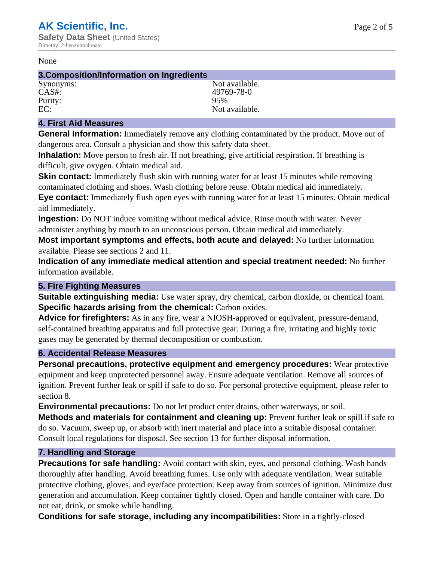#### None

#### **3.Composition/Information on Ingredients**

Purity:<br>EC:

Synonyms: Not available. CAS#: 49769-78-0<br>Purity: 95% 95% Not available.

## **4. First Aid Measures**

**General Information:** Immediately remove any clothing contaminated by the product. Move out of dangerous area. Consult a physician and show this safety data sheet.

**Inhalation:** Move person to fresh air. If not breathing, give artificial respiration. If breathing is difficult, give oxygen. Obtain medical aid.

**Skin contact:** Immediately flush skin with running water for at least 15 minutes while removing contaminated clothing and shoes. Wash clothing before reuse. Obtain medical aid immediately. **Eye contact:** Immediately flush open eyes with running water for at least 15 minutes. Obtain medical aid immediately.

**Ingestion:** Do NOT induce vomiting without medical advice. Rinse mouth with water. Never administer anything by mouth to an unconscious person. Obtain medical aid immediately.

**Most important symptoms and effects, both acute and delayed:** No further information available. Please see sections 2 and 11.

**Indication of any immediate medical attention and special treatment needed:** No further information available.

#### **5. Fire Fighting Measures**

**Suitable extinguishing media:** Use water spray, dry chemical, carbon dioxide, or chemical foam. **Specific hazards arising from the chemical:** Carbon oxides.

**Advice for firefighters:** As in any fire, wear a NIOSH-approved or equivalent, pressure-demand, self-contained breathing apparatus and full protective gear. During a fire, irritating and highly toxic gases may be generated by thermal decomposition or combustion.

#### **6. Accidental Release Measures**

**Personal precautions, protective equipment and emergency procedures:** Wear protective equipment and keep unprotected personnel away. Ensure adequate ventilation. Remove all sources of ignition. Prevent further leak or spill if safe to do so. For personal protective equipment, please refer to section 8.

**Environmental precautions:** Do not let product enter drains, other waterways, or soil.

**Methods and materials for containment and cleaning up:** Prevent further leak or spill if safe to do so. Vacuum, sweep up, or absorb with inert material and place into a suitable disposal container. Consult local regulations for disposal. See section 13 for further disposal information.

#### **7. Handling and Storage**

**Precautions for safe handling:** Avoid contact with skin, eyes, and personal clothing. Wash hands thoroughly after handling. Avoid breathing fumes. Use only with adequate ventilation. Wear suitable protective clothing, gloves, and eye/face protection. Keep away from sources of ignition. Minimize dust generation and accumulation. Keep container tightly closed. Open and handle container with care. Do not eat, drink, or smoke while handling.

**Conditions for safe storage, including any incompatibilities:** Store in a tightly-closed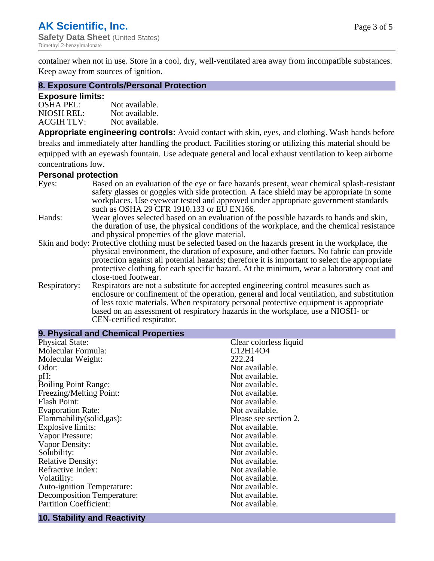container when not in use. Store in a cool, dry, well-ventilated area away from incompatible substances. Keep away from sources of ignition.

#### **8. Exposure Controls/Personal Protection**

#### **Exposure limits:**

| <b>OSHA PEL:</b>  | Not available. |
|-------------------|----------------|
| NIOSH REL:        | Not available. |
| <b>ACGIH TLV:</b> | Not available. |

**Appropriate engineering controls:** Avoid contact with skin, eyes, and clothing. Wash hands before breaks and immediately after handling the product. Facilities storing or utilizing this material should be equipped with an eyewash fountain. Use adequate general and local exhaust ventilation to keep airborne concentrations low.

#### **Personal protection**

| Eyes:        | Based on an evaluation of the eye or face hazards present, wear chemical splash-resistant<br>safety glasses or goggles with side protection. A face shield may be appropriate in some |
|--------------|---------------------------------------------------------------------------------------------------------------------------------------------------------------------------------------|
|              | workplaces. Use eyewear tested and approved under appropriate government standards<br>such as OSHA 29 CFR 1910.133 or EU EN166.                                                       |
| Hands:       | Wear gloves selected based on an evaluation of the possible hazards to hands and skin,                                                                                                |
|              | the duration of use, the physical conditions of the workplace, and the chemical resistance                                                                                            |
|              | and physical properties of the glove material.                                                                                                                                        |
|              | Skin and body: Protective clothing must be selected based on the hazards present in the workplace, the                                                                                |
|              | physical environment, the duration of exposure, and other factors. No fabric can provide                                                                                              |
|              | protection against all potential hazards; therefore it is important to select the appropriate                                                                                         |
|              | protective clothing for each specific hazard. At the minimum, wear a laboratory coat and                                                                                              |
|              | close-toed footwear.                                                                                                                                                                  |
| Respiratory: | Respirators are not a substitute for accepted engineering control measures such as<br>enclosure or confinement of the operation, general and local ventilation, and substitution      |
|              | of less toxic materials. When respiratory personal protective equipment is appropriate                                                                                                |
|              |                                                                                                                                                                                       |
|              | based on an assessment of respiratory hazards in the workplace, use a NIOSH- or                                                                                                       |
|              | CEN-certified respirator.                                                                                                                                                             |

| 9. Physical and Chemical Properties |                                                |  |  |
|-------------------------------------|------------------------------------------------|--|--|
| <b>Physical State:</b>              | Clear colorless liquid                         |  |  |
| Molecular Formula:                  | C <sub>12</sub> H <sub>14</sub> O <sub>4</sub> |  |  |
| Molecular Weight:                   | 222.24                                         |  |  |
| Odor:                               | Not available.                                 |  |  |
| pH:                                 | Not available.                                 |  |  |
| <b>Boiling Point Range:</b>         | Not available.                                 |  |  |
| Freezing/Melting Point:             | Not available.                                 |  |  |
| <b>Flash Point:</b>                 | Not available.                                 |  |  |
| <b>Evaporation Rate:</b>            | Not available.                                 |  |  |
| Flammability(solid,gas):            | Please see section 2.                          |  |  |
| <b>Explosive limits:</b>            | Not available.                                 |  |  |
| Vapor Pressure:                     | Not available.                                 |  |  |
| Vapor Density:                      | Not available.                                 |  |  |
| Solubility:                         | Not available.                                 |  |  |
| <b>Relative Density:</b>            | Not available.                                 |  |  |
| Refractive Index:                   | Not available.                                 |  |  |
| Volatility:                         | Not available.                                 |  |  |
| <b>Auto-ignition Temperature:</b>   | Not available.                                 |  |  |
| <b>Decomposition Temperature:</b>   | Not available.                                 |  |  |
| <b>Partition Coefficient:</b>       | Not available.                                 |  |  |
|                                     |                                                |  |  |

# **10. Stability and Reactivity**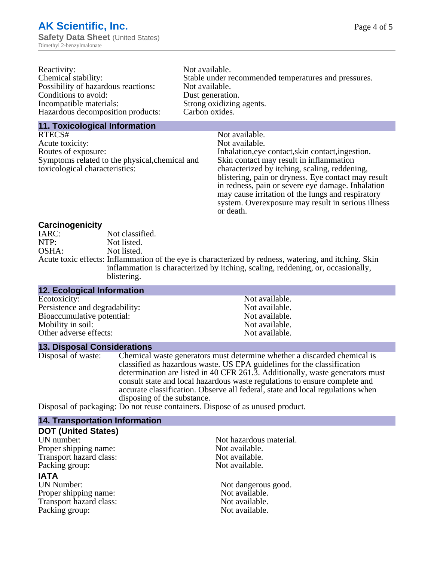| Reactivity:                         | Not available.                                       |
|-------------------------------------|------------------------------------------------------|
| Chemical stability:                 | Stable under recommended temperatures and pressures. |
| Possibility of hazardous reactions: | Not available.                                       |
| Conditions to avoid:                | Dust generation.                                     |
| Incompatible materials:             | Strong oxidizing agents.                             |
| Hazardous decomposition products:   | Carbon oxides.                                       |
|                                     |                                                      |

#### **11. Toxicological Information**

| Not available.                                      |
|-----------------------------------------------------|
| Not available.                                      |
| Inhalation, eye contact, skin contact, ingestion.   |
| Skin contact may result in inflammation             |
| characterized by itching, scaling, reddening,       |
| blistering, pain or dryness. Eye contact may result |
| in redness, pain or severe eye damage. Inhalation   |
| may cause irritation of the lungs and respiratory   |
| system. Overexposure may result in serious illness  |
|                                                     |

or death.

#### **Carcinogenicity**

| IARC: | Not classified.                                                                                       |
|-------|-------------------------------------------------------------------------------------------------------|
| NTP:  | Not listed.                                                                                           |
| OSHA: | Not listed.                                                                                           |
|       | Acute toxic effects: Inflammation of the eye is characterized by redness, watering, and itching. Skin |
|       | inflammation is characterized by itching, scaling, reddening, or, occasionally,                       |
|       | blistering.                                                                                           |

| <b>12. Ecological Information</b> |                |  |
|-----------------------------------|----------------|--|
| Ecotoxicity:                      | Not available. |  |
| Persistence and degradability:    | Not available. |  |
| Bioaccumulative potential:        | Not available. |  |
| Mobility in soil:                 | Not available. |  |
| Other adverse effects:            | Not available. |  |

#### **13. Disposal Considerations**

Disposal of waste: Chemical waste generators must determine whether a discarded chemical is classified as hazardous waste. US EPA guidelines for the classification determination are listed in 40 CFR 261.3. Additionally, waste generators must consult state and local hazardous waste regulations to ensure complete and accurate classification. Observe all federal, state and local regulations when disposing of the substance.

Disposal of packaging: Do not reuse containers. Dispose of as unused product.

| <b>14. Transportation Information</b> |                         |
|---------------------------------------|-------------------------|
| <b>DOT (United States)</b>            |                         |
| UN number:                            | Not hazardous material. |
| Proper shipping name:                 | Not available.          |
| Transport hazard class:               | Not available.          |
| Packing group:                        | Not available.          |
| <b>IATA</b>                           |                         |
| <b>UN Number:</b>                     | Not dangerous good.     |
| Proper shipping name:                 | Not available.          |
| Transport hazard class:               | Not available.          |
| Packing group:                        | Not available.          |
|                                       |                         |